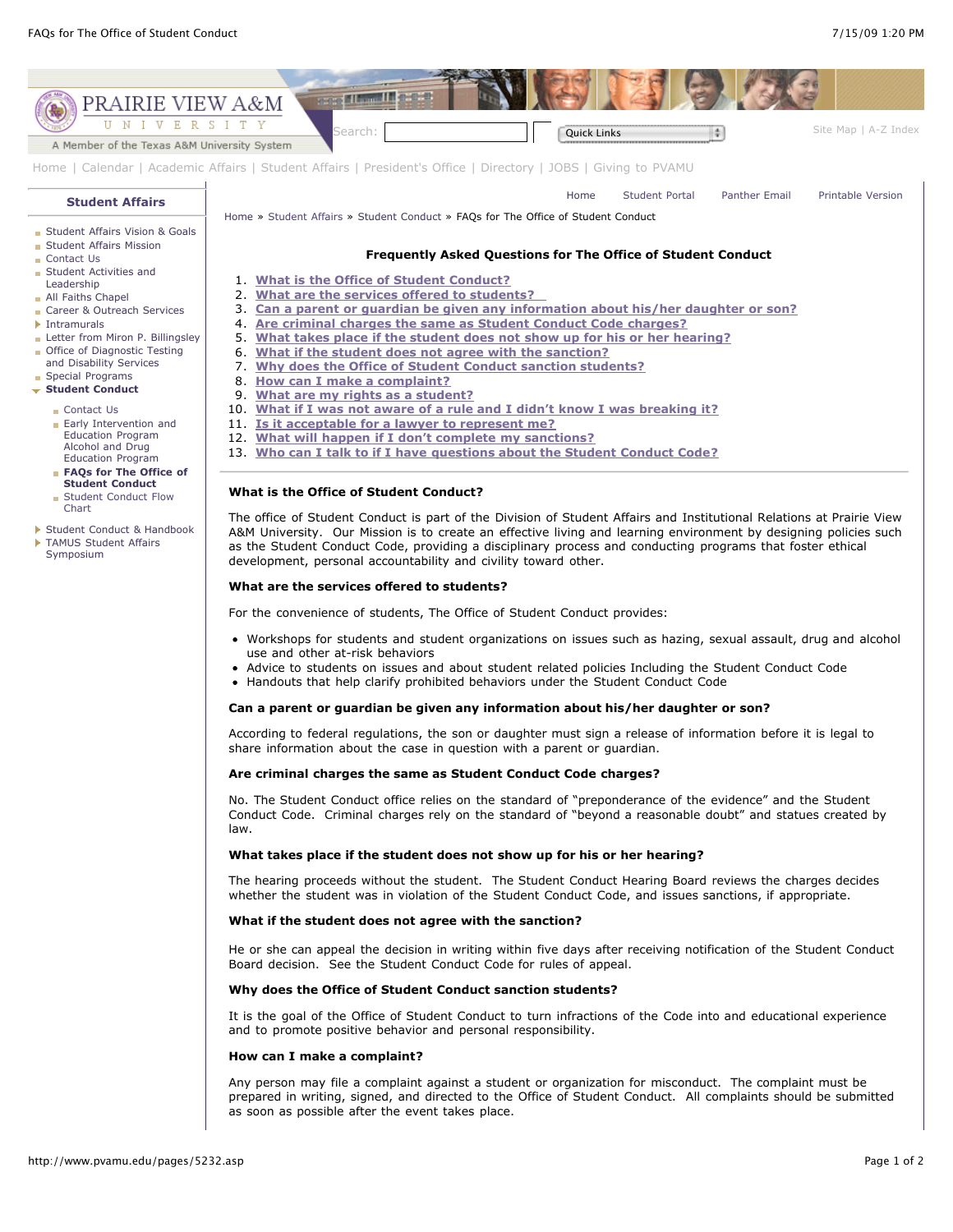[Student Conduct & Handbook](http://www.pvamu.edu/pages/4053.asp) **[TAMUS Student Affairs](http://www.pvamu.edu/pages/2412.asp)** Symposium



The office of Student Conduct is part of the Division of Student Affairs and Institutional Relations at Prairie View A&M University. Our Mission is to create an effective living and learning environment by designing policies such as the Student Conduct Code, providing a disciplinary process and conducting programs that foster ethical development, personal accountability and civility toward other.

# **What are the services offered to students?**

For the convenience of students, The Office of Student Conduct provides:

- Workshops for students and student organizations on issues such as hazing, sexual assault, drug and alcohol use and other at-risk behaviors
- Advice to students on issues and about student related policies Including the Student Conduct Code
- Handouts that help clarify prohibited behaviors under the Student Conduct Code

# **Can a parent or guardian be given any information about his/her daughter or son?**

According to federal regulations, the son or daughter must sign a release of information before it is legal to share information about the case in question with a parent or guardian.

### **Are criminal charges the same as Student Conduct Code charges?**

No. The Student Conduct office relies on the standard of "preponderance of the evidence" and the Student Conduct Code. Criminal charges rely on the standard of "beyond a reasonable doubt" and statues created by law.

## **What takes place if the student does not show up for his or her hearing?**

The hearing proceeds without the student. The Student Conduct Hearing Board reviews the charges decides whether the student was in violation of the Student Conduct Code, and issues sanctions, if appropriate.

# **What if the student does not agree with the sanction?**

He or she can appeal the decision in writing within five days after receiving notification of the Student Conduct Board decision. See the Student Conduct Code for rules of appeal.

# **Why does the Office of Student Conduct sanction students?**

It is the goal of the Office of Student Conduct to turn infractions of the Code into and educational experience and to promote positive behavior and personal responsibility.

#### **How can I make a complaint?**

Any person may file a complaint against a student or organization for misconduct. The complaint must be prepared in writing, signed, and directed to the Office of Student Conduct. All complaints should be submitted as soon as possible after the event takes place.